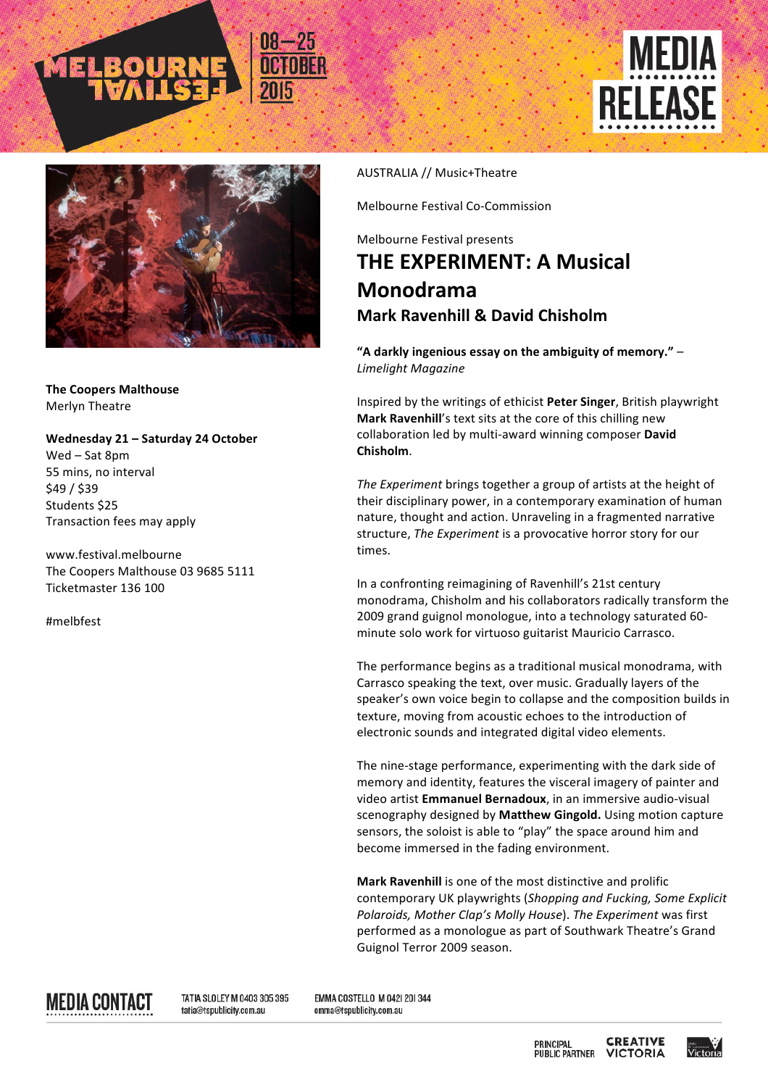





**The Coopers Malthouse** Merlyn Theatre

Wednesday 21 - Saturday 24 October Wed – Sat 8pm 55 mins, no interval \$49 / \$39 Students \$25 Transaction fees may apply

www.festival.melbourne The Coopers Malthouse 03 9685 5111 Ticketmaster 136 100

#melbfest

AUSTRALIA // Music+Theatre 

Melbourne Festival Co-Commission

Melbourne Festival presents

## **THE EXPERIMENT: A Musical Monodrama Mark Ravenhill & David Chisholm**

"A darkly ingenious essay on the ambiguity of memory." -*Limelight Magazine*

Inspired by the writings of ethicist **Peter Singer**, British playwright **Mark Ravenhill's text sits at the core of this chilling new** collaboration led by multi-award winning composer David **Chisholm**. 

The Experiment brings together a group of artists at the height of their disciplinary power, in a contemporary examination of human nature, thought and action. Unraveling in a fragmented narrative structure, The Experiment is a provocative horror story for our times. 

In a confronting reimagining of Ravenhill's 21st century monodrama, Chisholm and his collaborators radically transform the 2009 grand guignol monologue, into a technology saturated 60minute solo work for virtuoso guitarist Mauricio Carrasco.

The performance begins as a traditional musical monodrama, with Carrasco speaking the text, over music. Gradually layers of the speaker's own voice begin to collapse and the composition builds in texture, moving from acoustic echoes to the introduction of electronic sounds and integrated digital video elements.

The nine-stage performance, experimenting with the dark side of memory and identity, features the visceral imagery of painter and video artist **Emmanuel Bernadoux**, in an immersive audio-visual scenography designed by Matthew Gingold. Using motion capture sensors, the soloist is able to "play" the space around him and become immersed in the fading environment.

**Mark Ravenhill** is one of the most distinctive and prolific contemporary UK playwrights (Shopping and Fucking, Some Explicit *Polaroids, Mother Clap's Molly House*). The Experiment was first performed as a monologue as part of Southwark Theatre's Grand Guignol Terror 2009 season.

**MEDIA CONTACT** 

TATIA SLOLEY M 0403 305 395 tatia@tspublicity.com.au

EMMA COSTELLO M 0421 201344 emma@tspublicity.com.au